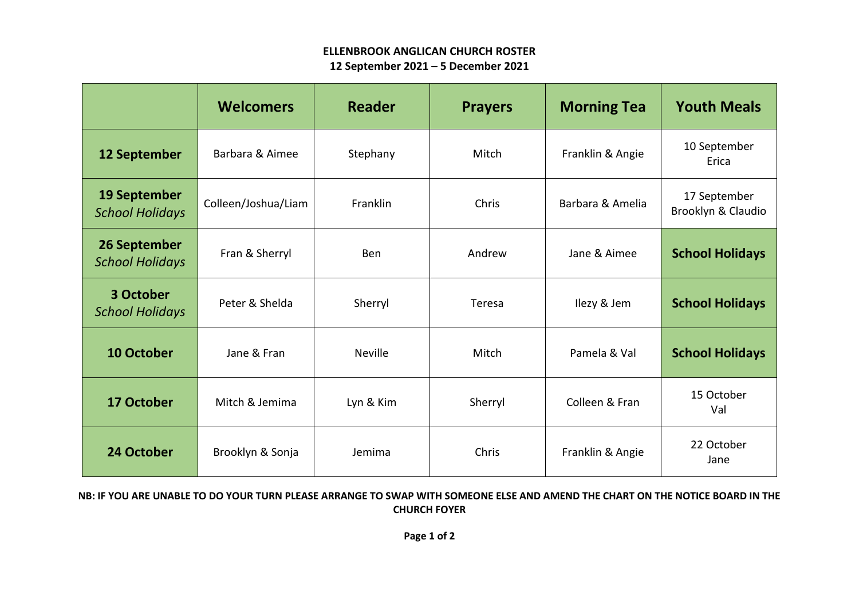## **ELLENBROOK ANGLICAN CHURCH ROSTER 12 September 2021 – 5 December 2021**

|                                               | <b>Welcomers</b>    | <b>Reader</b>  | <b>Prayers</b> | <b>Morning Tea</b> | <b>Youth Meals</b>                 |
|-----------------------------------------------|---------------------|----------------|----------------|--------------------|------------------------------------|
| 12 September                                  | Barbara & Aimee     | Stephany       | Mitch          | Franklin & Angie   | 10 September<br>Erica              |
| <b>19 September</b><br><b>School Holidays</b> | Colleen/Joshua/Liam | Franklin       | Chris          | Barbara & Amelia   | 17 September<br>Brooklyn & Claudio |
| <b>26 September</b><br><b>School Holidays</b> | Fran & Sherryl      | <b>Ben</b>     | Andrew         | Jane & Aimee       | <b>School Holidays</b>             |
| 3 October<br><b>School Holidays</b>           | Peter & Shelda      | Sherryl        | Teresa         | Ilezy & Jem        | <b>School Holidays</b>             |
| 10 October                                    | Jane & Fran         | <b>Neville</b> | Mitch          | Pamela & Val       | <b>School Holidays</b>             |
| <b>17 October</b>                             | Mitch & Jemima      | Lyn & Kim      | Sherryl        | Colleen & Fran     | 15 October<br>Val                  |
| 24 October                                    | Brooklyn & Sonja    | Jemima         | Chris          | Franklin & Angie   | 22 October<br>Jane                 |

## **NB: IF YOU ARE UNABLE TO DO YOUR TURN PLEASE ARRANGE TO SWAP WITH SOMEONE ELSE AND AMEND THE CHART ON THE NOTICE BOARD IN THE CHURCH FOYER**